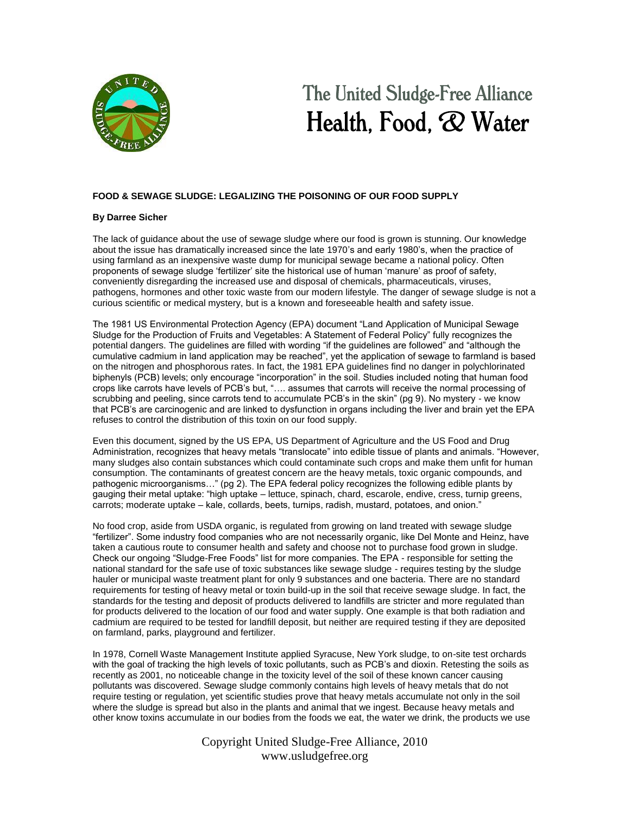

## The United Sludge-Free Alliance Health, Food,  $\mathcal{R}$  Water

## **FOOD & SEWAGE SLUDGE: LEGALIZING THE POISONING OF OUR FOOD SUPPLY**

## **By Darree Sicher**

The lack of guidance about the use of sewage sludge where our food is grown is stunning. Our knowledge about the issue has dramatically increased since the late 1970"s and early 1980"s, when the practice of using farmland as an inexpensive waste dump for municipal sewage became a national policy. Often proponents of sewage sludge "fertilizer" site the historical use of human "manure" as proof of safety, conveniently disregarding the increased use and disposal of chemicals, pharmaceuticals, viruses, pathogens, hormones and other toxic waste from our modern lifestyle. The danger of sewage sludge is not a curious scientific or medical mystery, but is a known and foreseeable health and safety issue.

The 1981 US Environmental Protection Agency (EPA) document "Land Application of Municipal Sewage Sludge for the Production of Fruits and Vegetables: A Statement of Federal Policy" fully recognizes the potential dangers. The guidelines are filled with wording "if the guidelines are followed" and "although the cumulative cadmium in land application may be reached", yet the application of sewage to farmland is based on the nitrogen and phosphorous rates. In fact, the 1981 EPA guidelines find no danger in polychlorinated biphenyls (PCB) levels; only encourage "incorporation" in the soil. Studies included noting that human food crops like carrots have levels of PCB"s but, "…. assumes that carrots will receive the normal processing of scrubbing and peeling, since carrots tend to accumulate PCB"s in the skin" (pg 9). No mystery - we know that PCB"s are carcinogenic and are linked to dysfunction in organs including the liver and brain yet the EPA refuses to control the distribution of this toxin on our food supply.

Even this document, signed by the US EPA, US Department of Agriculture and the US Food and Drug Administration, recognizes that heavy metals "translocate" into edible tissue of plants and animals. "However, many sludges also contain substances which could contaminate such crops and make them unfit for human consumption. The contaminants of greatest concern are the heavy metals, toxic organic compounds, and pathogenic microorganisms…" (pg 2). The EPA federal policy recognizes the following edible plants by gauging their metal uptake: "high uptake – lettuce, spinach, chard, escarole, endive, cress, turnip greens, carrots; moderate uptake – kale, collards, beets, turnips, radish, mustard, potatoes, and onion."

No food crop, aside from USDA organic, is regulated from growing on land treated with sewage sludge "fertilizer". Some industry food companies who are not necessarily organic, like Del Monte and Heinz, have taken a cautious route to consumer health and safety and choose not to purchase food grown in sludge. Check our ongoing "Sludge-Free Foods" list for more companies. The EPA - responsible for setting the national standard for the safe use of toxic substances like sewage sludge - requires testing by the sludge hauler or municipal waste treatment plant for only 9 substances and one bacteria. There are no standard requirements for testing of heavy metal or toxin build-up in the soil that receive sewage sludge. In fact, the standards for the testing and deposit of products delivered to landfills are stricter and more regulated than for products delivered to the location of our food and water supply. One example is that both radiation and cadmium are required to be tested for landfill deposit, but neither are required testing if they are deposited on farmland, parks, playground and fertilizer.

In 1978, Cornell Waste Management Institute applied Syracuse, New York sludge, to on-site test orchards with the goal of tracking the high levels of toxic pollutants, such as PCB"s and dioxin. Retesting the soils as recently as 2001, no noticeable change in the toxicity level of the soil of these known cancer causing pollutants was discovered. Sewage sludge commonly contains high levels of heavy metals that do not require testing or regulation, yet scientific studies prove that heavy metals accumulate not only in the soil where the sludge is spread but also in the plants and animal that we ingest. Because heavy metals and other know toxins accumulate in our bodies from the foods we eat, the water we drink, the products we use

> Copyright United Sludge-Free Alliance, 2010 www.usludgefree.org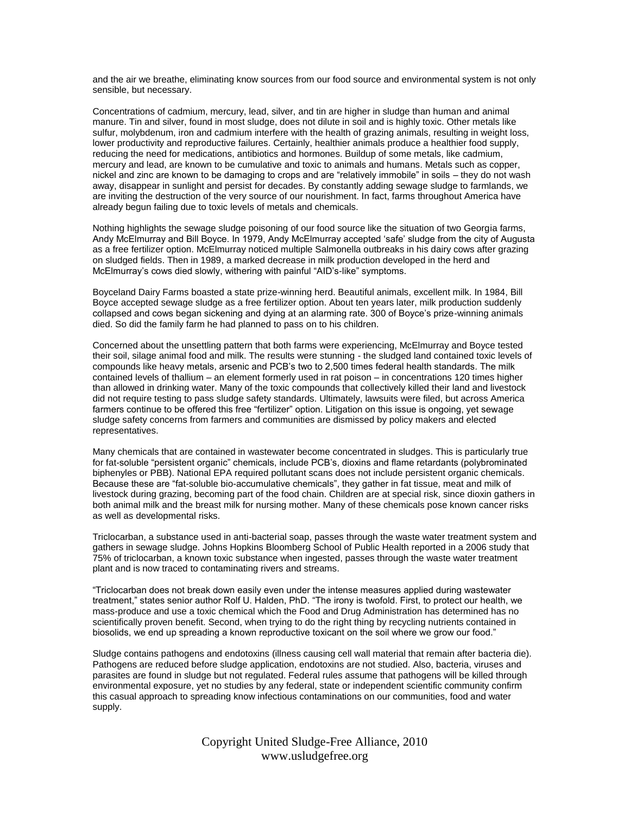and the air we breathe, eliminating know sources from our food source and environmental system is not only sensible, but necessary.

Concentrations of cadmium, mercury, lead, silver, and tin are higher in sludge than human and animal manure. Tin and silver, found in most sludge, does not dilute in soil and is highly toxic. Other metals like sulfur, molybdenum, iron and cadmium interfere with the health of grazing animals, resulting in weight loss, lower productivity and reproductive failures. Certainly, healthier animals produce a healthier food supply, reducing the need for medications, antibiotics and hormones. Buildup of some metals, like cadmium, mercury and lead, are known to be cumulative and toxic to animals and humans. Metals such as copper, nickel and zinc are known to be damaging to crops and are "relatively immobile" in soils – they do not wash away, disappear in sunlight and persist for decades. By constantly adding sewage sludge to farmlands, we are inviting the destruction of the very source of our nourishment. In fact, farms throughout America have already begun failing due to toxic levels of metals and chemicals.

Nothing highlights the sewage sludge poisoning of our food source like the situation of two Georgia farms, Andy McElmurray and Bill Boyce. In 1979, Andy McElmurray accepted "safe" sludge from the city of Augusta as a free fertilizer option. McElmurray noticed multiple Salmonella outbreaks in his dairy cows after grazing on sludged fields. Then in 1989, a marked decrease in milk production developed in the herd and McElmurray"s cows died slowly, withering with painful "AID"s-like" symptoms.

Boyceland Dairy Farms boasted a state prize-winning herd. Beautiful animals, excellent milk. In 1984, Bill Boyce accepted sewage sludge as a free fertilizer option. About ten years later, milk production suddenly collapsed and cows began sickening and dying at an alarming rate. 300 of Boyce"s prize-winning animals died. So did the family farm he had planned to pass on to his children.

Concerned about the unsettling pattern that both farms were experiencing, McElmurray and Boyce tested their soil, silage animal food and milk. The results were stunning - the sludged land contained toxic levels of compounds like heavy metals, arsenic and PCB"s two to 2,500 times federal health standards. The milk contained levels of thallium – an element formerly used in rat poison – in concentrations 120 times higher than allowed in drinking water. Many of the toxic compounds that collectively killed their land and livestock did not require testing to pass sludge safety standards. Ultimately, lawsuits were filed, but across America farmers continue to be offered this free "fertilizer" option. Litigation on this issue is ongoing, yet sewage sludge safety concerns from farmers and communities are dismissed by policy makers and elected representatives.

Many chemicals that are contained in wastewater become concentrated in sludges. This is particularly true for fat-soluble "persistent organic" chemicals, include PCB"s, dioxins and flame retardants (polybrominated biphenyles or PBB). National EPA required pollutant scans does not include persistent organic chemicals. Because these are "fat-soluble bio-accumulative chemicals", they gather in fat tissue, meat and milk of livestock during grazing, becoming part of the food chain. Children are at special risk, since dioxin gathers in both animal milk and the breast milk for nursing mother. Many of these chemicals pose known cancer risks as well as developmental risks.

Triclocarban, a substance used in anti-bacterial soap, passes through the waste water treatment system and gathers in sewage sludge. Johns Hopkins Bloomberg School of Public Health reported in a 2006 study that 75% of triclocarban, a known toxic substance when ingested, passes through the waste water treatment plant and is now traced to contaminating rivers and streams.

"Triclocarban does not break down easily even under the intense measures applied during wastewater treatment," states senior author Rolf U. Halden, PhD. "The irony is twofold. First, to protect our health, we mass-produce and use a toxic chemical which the Food and Drug Administration has determined has no scientifically proven benefit. Second, when trying to do the right thing by recycling nutrients contained in biosolids, we end up spreading a known reproductive toxicant on the soil where we grow our food."

Sludge contains pathogens and endotoxins (illness causing cell wall material that remain after bacteria die). Pathogens are reduced before sludge application, endotoxins are not studied. Also, bacteria, viruses and parasites are found in sludge but not regulated. Federal rules assume that pathogens will be killed through environmental exposure, yet no studies by any federal, state or independent scientific community confirm this casual approach to spreading know infectious contaminations on our communities, food and water supply.

> Copyright United Sludge-Free Alliance, 2010 www.usludgefree.org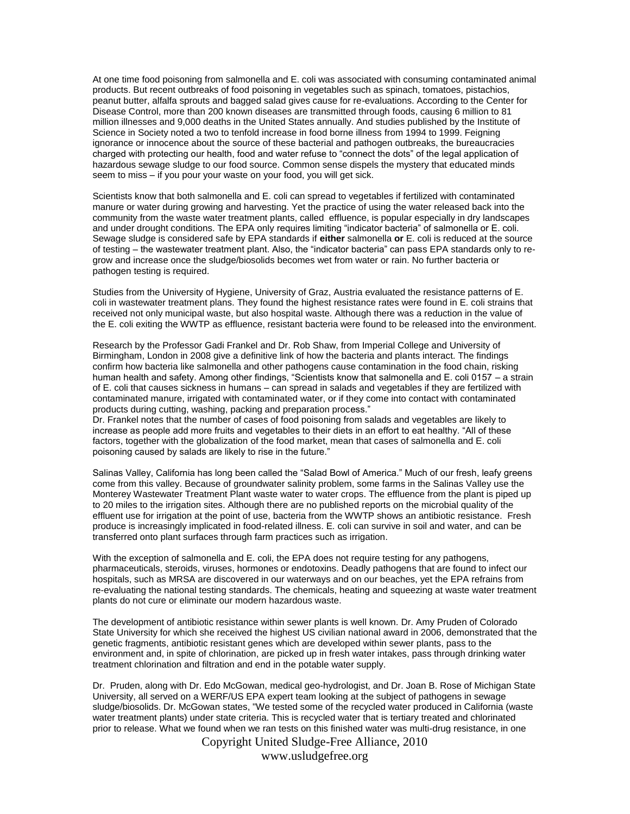At one time food poisoning from salmonella and E. coli was associated with consuming contaminated animal products. But recent outbreaks of food poisoning in vegetables such as spinach, tomatoes, pistachios, peanut butter, alfalfa sprouts and bagged salad gives cause for re-evaluations. According to the Center for Disease Control, more than 200 known diseases are transmitted through foods, causing 6 million to 81 million illnesses and 9,000 deaths in the United States annually. And studies published by the Institute of Science in Society noted a two to tenfold increase in food borne illness from 1994 to 1999. Feigning ignorance or innocence about the source of these bacterial and pathogen outbreaks, the bureaucracies charged with protecting our health, food and water refuse to "connect the dots" of the legal application of hazardous sewage sludge to our food source. Common sense dispels the mystery that educated minds seem to miss – if you pour your waste on your food, you will get sick.

Scientists know that both salmonella and E. coli can spread to vegetables if fertilized with contaminated manure or water during growing and harvesting. Yet the practice of using the water released back into the community from the waste water treatment plants, called effluence, is popular especially in dry landscapes and under drought conditions. The EPA only requires limiting "indicator bacteria" of salmonella or E. coli. Sewage sludge is considered safe by EPA standards if **either** salmonella **or** E. coli is reduced at the source of testing – the wastewater treatment plant. Also, the "indicator bacteria" can pass EPA standards only to regrow and increase once the sludge/biosolids becomes wet from water or rain. No further bacteria or pathogen testing is required.

Studies from the University of Hygiene, University of Graz, Austria evaluated the resistance patterns of E. coli in wastewater treatment plans. They found the highest resistance rates were found in E. coli strains that received not only municipal waste, but also hospital waste. Although there was a reduction in the value of the E. coli exiting the WWTP as effluence, resistant bacteria were found to be released into the environment.

Research by the Professor Gadi Frankel and Dr. Rob Shaw, from Imperial College and University of Birmingham, London in 2008 give a definitive link of how the bacteria and plants interact. The findings confirm how bacteria like salmonella and other pathogens cause contamination in the food chain, risking human health and safety. Among other findings, "Scientists know that salmonella and E. coli 0157 – a strain of E. coli that causes sickness in humans – can spread in salads and vegetables if they are fertilized with contaminated manure, irrigated with contaminated water, or if they come into contact with contaminated products during cutting, washing, packing and preparation process."

Dr. Frankel notes that the number of cases of food poisoning from salads and vegetables are likely to increase as people add more fruits and vegetables to their diets in an effort to eat healthy. "All of these factors, together with the globalization of the food market, mean that cases of salmonella and E. coli poisoning caused by salads are likely to rise in the future."

Salinas Valley, California has long been called the "Salad Bowl of America." Much of our fresh, leafy greens come from this valley. Because of groundwater salinity problem, some farms in the Salinas Valley use the Monterey Wastewater Treatment Plant waste water to water crops. The effluence from the plant is piped up to 20 miles to the irrigation sites. Although there are no published reports on the microbial quality of the effluent use for irrigation at the point of use, bacteria from the WWTP shows an antibiotic resistance. Fresh produce is increasingly implicated in food-related illness. E. coli can survive in soil and water, and can be transferred onto plant surfaces through farm practices such as irrigation.

With the exception of salmonella and E. coli, the EPA does not require testing for any pathogens, pharmaceuticals, steroids, viruses, hormones or endotoxins. Deadly pathogens that are found to infect our hospitals, such as MRSA are discovered in our waterways and on our beaches, yet the EPA refrains from re-evaluating the national testing standards. The chemicals, heating and squeezing at waste water treatment plants do not cure or eliminate our modern hazardous waste.

The development of antibiotic resistance within sewer plants is well known. Dr. Amy Pruden of Colorado State University for which she received the highest US civilian national award in 2006, demonstrated that the genetic fragments, antibiotic resistant genes which are developed within sewer plants, pass to the environment and, in spite of chlorination, are picked up in fresh water intakes, pass through drinking water treatment chlorination and filtration and end in the potable water supply.

Dr. Pruden, along with Dr. Edo McGowan, medical geo-hydrologist, and Dr. Joan B. Rose of Michigan State University, all served on a WERF/US EPA expert team looking at the subject of pathogens in sewage sludge/biosolids. Dr. McGowan states, "We tested some of the recycled water produced in California (waste water treatment plants) under state criteria. This is recycled water that is tertiary treated and chlorinated prior to release. What we found when we ran tests on this finished water was multi-drug resistance, in one

Copyright United Sludge-Free Alliance, 2010

www.usludgefree.org